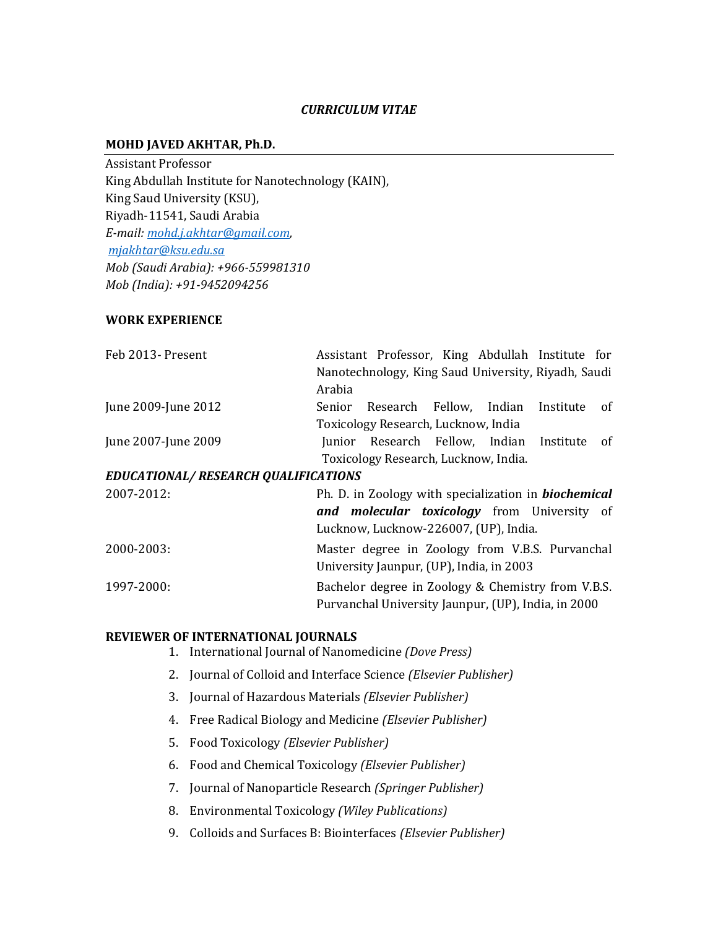## *CURRICULUM VITAE*

#### **MOHD JAVED AKHTAR, Ph.D.**

Assistant Professor King Abdullah Institute for Nanotechnology (KAIN), King Saud University (KSU), Riyadh-11541, Saudi Arabia *E-mail[: mohd.j.akhtar@gmail.com,](mailto:mohd.j.akhtar@gmail.com) [mjakhtar@ksu.edu.sa](mailto:mjakhtar@ksu.edu.sa) Mob (Saudi Arabia): +966-559981310 Mob (India): +91-9452094256*

## **WORK EXPERIENCE**

| Feb 2013- Present                   | Assistant Professor, King Abdullah Institute for            |
|-------------------------------------|-------------------------------------------------------------|
|                                     | Nanotechnology, King Saud University, Riyadh, Saudi         |
|                                     | Arabia                                                      |
| June 2009-June 2012                 | Senior Research Fellow, Indian Institute<br>of              |
|                                     | Toxicology Research, Lucknow, India                         |
| June 2007-June 2009                 | Junior Research Fellow, Indian Institute<br>of              |
|                                     | Toxicology Research, Lucknow, India.                        |
| EDUCATIONAL/RESEARCH QUALIFICATIONS |                                                             |
| 2007-2012:                          | Ph. D. in Zoology with specialization in <b>biochemical</b> |
|                                     | and molecular toxicology from University of                 |
|                                     | Lucknow, Lucknow-226007, (UP), India.                       |
| 2000-2003:                          | Master degree in Zoology from V.B.S. Purvanchal             |
|                                     | University Jaunpur, (UP), India, in 2003                    |
| 1997-2000:                          | Bachelor degree in Zoology & Chemistry from V.B.S.          |
|                                     | Purvanchal University Jaunpur, (UP), India, in 2000         |

#### **REVIEWER OF INTERNATIONAL JOURNALS**

- 1. International Journal of Nanomedicine *(Dove Press)*
- 2. Journal of Colloid and Interface Science *(Elsevier Publisher)*
- 3. Journal of Hazardous Materials *(Elsevier Publisher)*
- 4. Free Radical Biology and Medicine *(Elsevier Publisher)*
- 5. Food Toxicology *(Elsevier Publisher)*
- 6. Food and Chemical Toxicology *(Elsevier Publisher)*
- 7. Journal of Nanoparticle Research *(Springer Publisher)*
- 8. Environmental Toxicology *(Wiley Publications)*
- 9. Colloids and Surfaces B: Biointerfaces *(Elsevier Publisher)*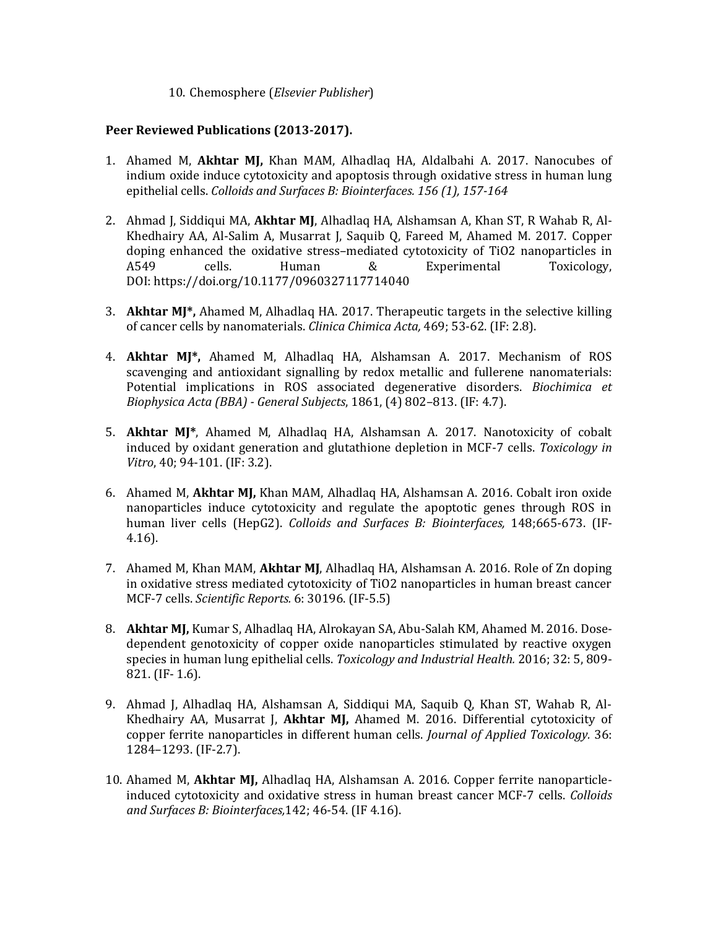10. Chemosphere (*Elsevier Publisher*)

## **Peer Reviewed Publications (2013-2017).**

- 1. Ahamed M, **Akhtar MJ,** Khan MAM, Alhadlaq HA, Aldalbahi A. 2017. Nanocubes of indium oxide induce cytotoxicity and apoptosis through oxidative stress in human lung epithelial cells. *Colloids and Surfaces B: Biointerfaces. 156 (1), 157-164*
- 2. Ahmad J, Siddiqui MA, **Akhtar MJ**, Alhadlaq HA, Alshamsan A, Khan ST, R Wahab R, Al-Khedhairy AA, Al-Salim A, Musarrat J, Saquib Q, Fareed M, Ahamed M. 2017. Copper doping enhanced the oxidative stress–mediated cytotoxicity of TiO2 nanoparticles in A549 cells. Human & Experimental Toxicology, DOI: https://doi.org/10.1177/0960327117714040
- 3. **Akhtar MJ\*,** Ahamed M, Alhadlaq HA. 2017. Therapeutic targets in the selective killing of cancer cells by nanomaterials. *Clinica Chimica Acta,* 469; 53-62. (IF: 2.8).
- 4. **Akhtar MJ\*,** Ahamed M, Alhadlaq HA, Alshamsan A. 2017. Mechanism of ROS scavenging and antioxidant signalling by redox metallic and fullerene nanomaterials: Potential implications in ROS associated degenerative disorders. *Biochimica et Biophysica Acta (BBA) - General Subjects*, 1861, (4) 802–813. (IF: 4.7).
- 5. **Akhtar MJ\***, Ahamed M, Alhadlaq HA, Alshamsan A. 2017. Nanotoxicity of cobalt induced by oxidant generation and glutathione depletion in MCF-7 cells. *Toxicology in Vitro*, 40; 94-101. (IF: 3.2).
- 6. Ahamed M, **Akhtar MJ,** Khan MAM, Alhadlaq HA, Alshamsan A. 2016. Cobalt iron oxide nanoparticles induce cytotoxicity and regulate the apoptotic genes through ROS in human liver cells (HepG2). *Colloids and Surfaces B: Biointerfaces,* 148;665-673. (IF-4.16).
- 7. Ahamed M, Khan MAM, **Akhtar MJ**, Alhadlaq HA, Alshamsan A. 2016. Role of Zn doping in oxidative stress mediated cytotoxicity of TiO2 nanoparticles in human breast cancer MCF-7 cells. *Scientific Reports.* 6: 30196. (IF-5.5)
- 8. **Akhtar MJ,** Kumar S, Alhadlaq HA, Alrokayan SA, Abu-Salah KM, Ahamed M. 2016. Dosedependent genotoxicity of copper oxide nanoparticles stimulated by reactive oxygen species in human lung epithelial cells. *Toxicology and Industrial Health.* 2016; 32: 5, 809- 821. (IF- 1.6).
- 9. Ahmad J, Alhadlaq HA, Alshamsan A, Siddiqui MA, Saquib Q, Khan ST, Wahab R, Al‐ Khedhairy AA, Musarrat J, **Akhtar MJ,** Ahamed M. 2016. Differential cytotoxicity of copper ferrite nanoparticles in different human cells. *Journal of Applied Toxicology.* 36: 1284–1293. (IF-2.7).
- 10. Ahamed M, **Akhtar MJ,** Alhadlaq HA, Alshamsan A. 2016. Copper ferrite nanoparticleinduced cytotoxicity and oxidative stress in human breast cancer MCF-7 cells. *Colloids and Surfaces B: Biointerfaces,*142; 46-54. (IF 4.16).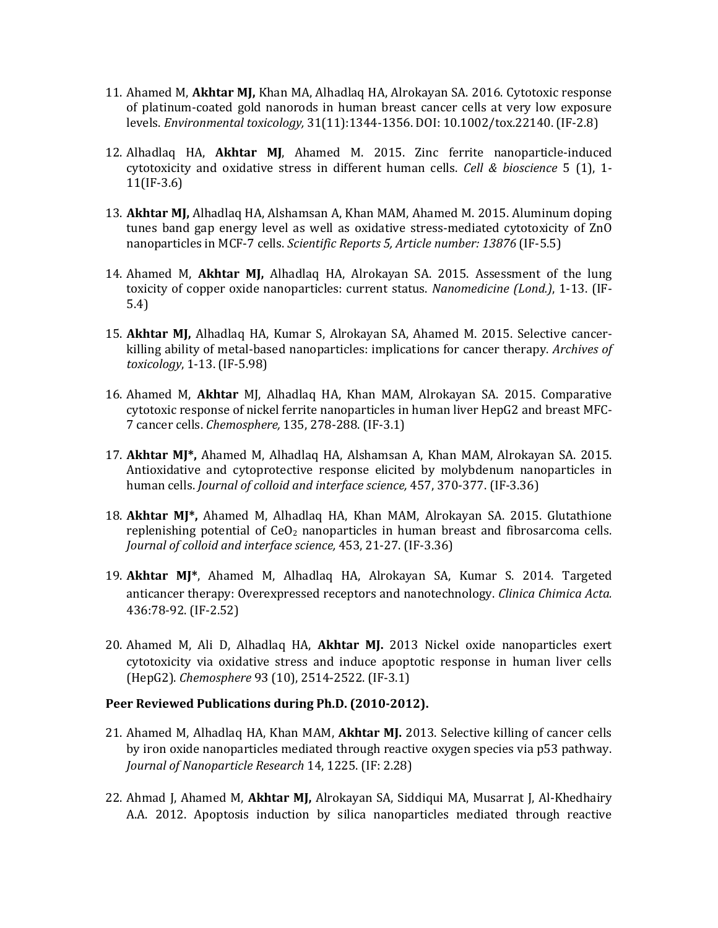- 11. Ahamed M, **Akhtar MJ,** Khan MA, Alhadlaq HA, Alrokayan SA. 2016. Cytotoxic response of platinum‐coated gold nanorods in human breast cancer cells at very low exposure levels. *Environmental toxicology,* 31(11):1344-1356. DOI: 10.1002/tox.22140. (IF-2.8)
- 12. Alhadlaq HA, **Akhtar MJ**, Ahamed M. 2015. Zinc ferrite nanoparticle-induced cytotoxicity and oxidative stress in different human cells. *Cell & bioscience* 5 (1), 1- 11(IF-3.6)
- 13. **Akhtar MJ,** Alhadlaq HA, Alshamsan A, Khan MAM, Ahamed M. 2015. Aluminum doping tunes band gap energy level as well as oxidative stress-mediated cytotoxicity of ZnO nanoparticles in MCF-7 cells. *Scientific Reports 5, Article number: 13876* (IF-5.5)
- 14. Ahamed M, **Akhtar MJ,** Alhadlaq HA, Alrokayan SA. 2015. Assessment of the lung toxicity of copper oxide nanoparticles: current status. *Nanomedicine (Lond.)*, 1-13. (IF-5.4)
- 15. **Akhtar MJ,** Alhadlaq HA, Kumar S, Alrokayan SA, Ahamed M. 2015. Selective cancerkilling ability of metal-based nanoparticles: implications for cancer therapy. *Archives of toxicology*, 1-13. (IF-5.98)
- 16. Ahamed M, **Akhtar** MJ, Alhadlaq HA, Khan MAM, Alrokayan SA. 2015. Comparative cytotoxic response of nickel ferrite nanoparticles in human liver HepG2 and breast MFC-7 cancer cells. *Chemosphere,* 135, 278-288. (IF-3.1)
- 17. **Akhtar MJ\*,** Ahamed M, Alhadlaq HA, Alshamsan A, Khan MAM, Alrokayan SA. 2015. Antioxidative and cytoprotective response elicited by molybdenum nanoparticles in human cells. *Journal of colloid and interface science,* 457, 370-377. (IF-3.36)
- 18. **Akhtar MJ\*,** Ahamed M, Alhadlaq HA, Khan MAM, Alrokayan SA. 2015. Glutathione replenishing potential of  $CeO<sub>2</sub>$  nanoparticles in human breast and fibrosarcoma cells. *Journal of colloid and interface science,* 453, 21-27. (IF-3.36)
- 19. **Akhtar MJ\***, Ahamed M, Alhadlaq HA, Alrokayan SA, Kumar S. 2014. Targeted anticancer therapy: Overexpressed receptors and nanotechnology. *Clinica Chimica Acta.* 436:78-92. (IF-2.52)
- 20. Ahamed M, Ali D, Alhadlaq HA, **Akhtar MJ.** 2013 Nickel oxide nanoparticles exert cytotoxicity via oxidative stress and induce apoptotic response in human liver cells (HepG2). *Chemosphere* 93 (10), 2514-2522. (IF-3.1)

#### **Peer Reviewed Publications during Ph.D. (2010-2012).**

- 21. Ahamed M, Alhadlaq HA, Khan MAM, **Akhtar MJ.** 2013. Selective killing of cancer cells by iron oxide nanoparticles mediated through reactive oxygen species via p53 pathway. *Journal of Nanoparticle Research* 14, 1225. (IF: 2.28)
- 22. Ahmad J, Ahamed M, **Akhtar MJ,** Alrokayan SA, Siddiqui MA, Musarrat J, Al-Khedhairy A.A. 2012. Apoptosis induction by silica nanoparticles mediated through reactive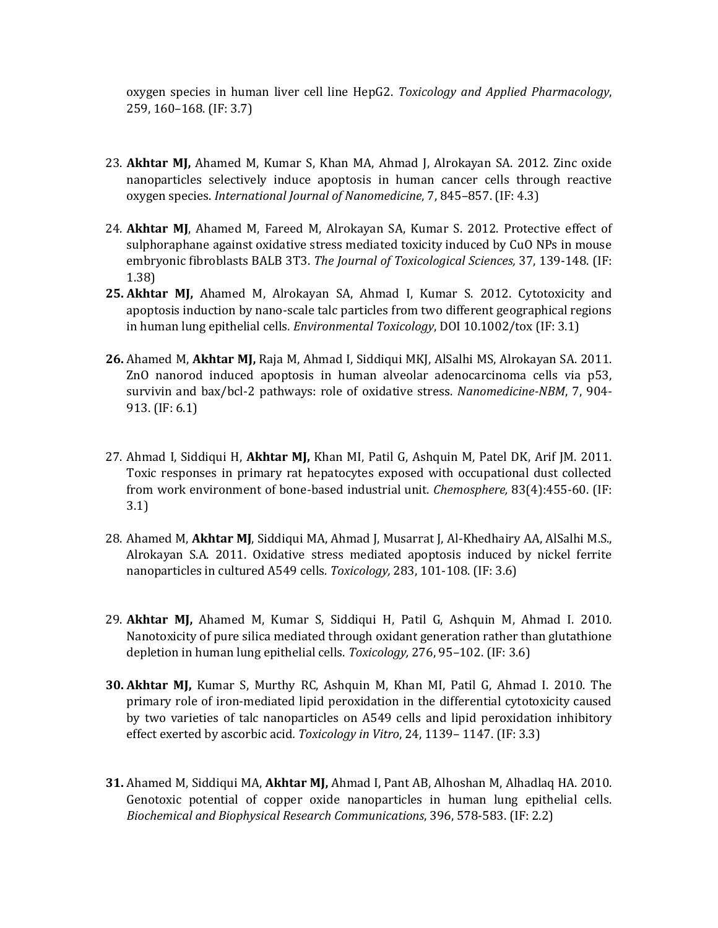oxygen species in human liver cell line HepG2. *Toxicology and Applied Pharmacology*, 259, 160–168. (IF: 3.7)

- 23. **Akhtar MJ,** Ahamed M, Kumar S, Khan MA, Ahmad J, Alrokayan SA. 2012. Zinc oxide nanoparticles selectively induce apoptosis in human cancer cells through reactive oxygen species. *International Journal of Nanomedicine*, 7, 845–857. (IF: 4.3)
- 24. **Akhtar MJ**, Ahamed M, Fareed M, Alrokayan SA, Kumar S. 2012. Protective effect of sulphoraphane against oxidative stress mediated toxicity induced by CuO NPs in mouse embryonic fibroblasts BALB 3T3. *The Journal of Toxicological Sciences,* 37, 139-148. (IF: 1.38)
- **25. Akhtar MJ,** Ahamed M, Alrokayan SA, Ahmad I, Kumar S. 2012. Cytotoxicity and apoptosis induction by nano-scale talc particles from two different geographical regions in human lung epithelial cells*. Environmental Toxicology*, DOI 10.1002/tox (IF: 3.1)
- **26.** Ahamed M, **Akhtar MJ,** Raja M, Ahmad I, Siddiqui MKJ, AlSalhi MS, Alrokayan SA. 2011. ZnO nanorod induced apoptosis in human alveolar adenocarcinoma cells via p53, survivin and bax/bcl-2 pathways: role of oxidative stress. *Nanomedicine-NBM*, 7, 904- 913. (IF: 6.1)
- 27. Ahmad I, Siddiqui H, **Akhtar MJ,** Khan MI, Patil G, Ashquin M, Patel DK, Arif JM. 2011. Toxic responses in primary rat hepatocytes exposed with occupational dust collected from work environment of bone-based industrial unit. *Chemosphere,* 83(4):455-60. (IF: 3.1)
- 28. Ahamed M, **Akhtar MJ**, Siddiqui MA, Ahmad J, Musarrat J, Al-Khedhairy AA, AlSalhi M.S., Alrokayan S.A. 2011. Oxidative stress mediated apoptosis induced by nickel ferrite nanoparticles in cultured A549 cells*. Toxicology,* 283, 101-108. (IF: 3.6)
- 29. **Akhtar MJ,** Ahamed M, Kumar S, Siddiqui H, Patil G, Ashquin M, Ahmad I. 2010. Nanotoxicity of pure silica mediated through oxidant generation rather than glutathione depletion in human lung epithelial cells. *Toxicology,* 276, 95–102. (IF: 3.6)
- **30. Akhtar MJ,** Kumar S, Murthy RC, Ashquin M, Khan MI, Patil G, Ahmad I. 2010. The primary role of iron-mediated lipid peroxidation in the differential cytotoxicity caused by two varieties of talc nanoparticles on A549 cells and lipid peroxidation inhibitory effect exerted by ascorbic acid*. Toxicology in Vitro*, 24, 1139– 1147. (IF: 3.3)
- **31.** Ahamed M, Siddiqui MA, **Akhtar MJ,** Ahmad I, Pant AB, Alhoshan M, Alhadlaq HA. 2010. Genotoxic potential of copper oxide nanoparticles in human lung epithelial cells. *Biochemical and Biophysical Research Communications*, 396, 578-583. (IF: 2.2)